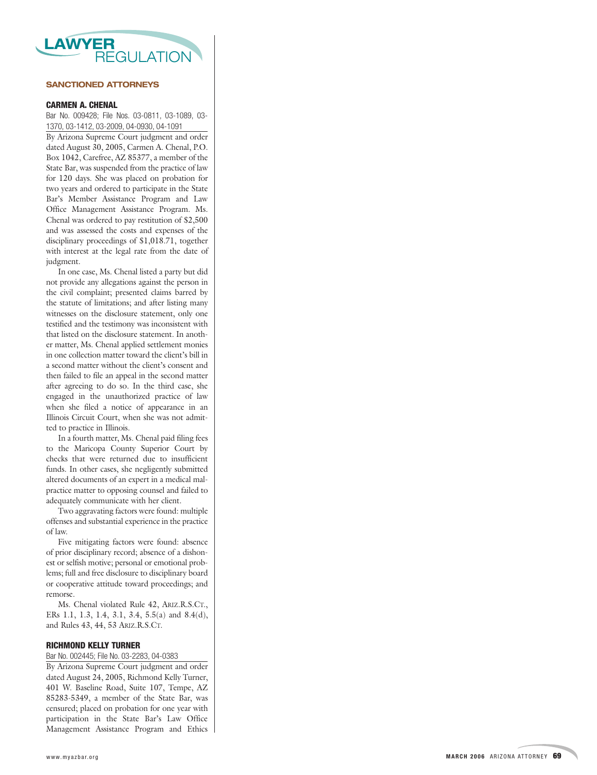

### **SANCTIONED ATTORNEYS**

### **CARMEN A. CHENAL**

Bar No. 009428; File Nos. 03-0811, 03-1089, 03- 1370, 03-1412, 03-2009, 04-0930, 04-1091

By Arizona Supreme Court judgment and order dated August 30, 2005, Carmen A. Chenal, P.O. Box 1042, Carefree, AZ 85377, a member of the State Bar, was suspended from the practice of law for 120 days. She was placed on probation for two years and ordered to participate in the State Bar's Member Assistance Program and Law Office Management Assistance Program. Ms. Chenal was ordered to pay restitution of \$2,500 and was assessed the costs and expenses of the disciplinary proceedings of \$1,018.71, together with interest at the legal rate from the date of judgment.

In one case, Ms. Chenal listed a party but did not provide any allegations against the person in the civil complaint; presented claims barred by the statute of limitations; and after listing many witnesses on the disclosure statement, only one testified and the testimony was inconsistent with that listed on the disclosure statement. In another matter, Ms. Chenal applied settlement monies in one collection matter toward the client's bill in a second matter without the client's consent and then failed to file an appeal in the second matter after agreeing to do so. In the thir d case, she engaged in the unauthorized practice of law when she filed a notice of appearance in an Illinois Circuit Court, when she was not admitted to practice in Illinois.

In a fourth matter , Ms. Chenal paid filing fees to the Maricopa County Superior Cour t by checks that wer e returned due to insufficient funds. In other cases, she negligently submitted altered documents of an expert in a medical malpractice matter to opposing counsel and failed to adequately communicate with her client.

Two aggravating factors were found: multiple offenses and substantial experience in the practice of law.

Five mitigating factors were found: absence of prior disciplinary record; absence of a dishonest or selfish motive; personal or emotional problems; full and free disclosure to disciplinary board or cooperative attitude toward proceedings; and remorse.

Ms. Chenal violated Rule 42, ARIZ.R.S.CT., ERs 1.1, 1.3, 1.4, 3.1, 3.4, 5.5(a) and 8.4(d), and Rules 43, 44, 53 ARIZ.R.S.CT.

### **RICHMOND KELLY TURNER**

Bar No. 002445; File No. 03-2283, 04-0383

By Arizona Supreme Court judgment and order dated August 24, 2005, Richmond Kelly Turner, 401 W. Baseline Road, Suite 107, Tempe, AZ 85283-5349, a member of the State Bar, was censured; placed on probation for one year with participation in the State Bar's Law Office Management Assistance Program and Ethics